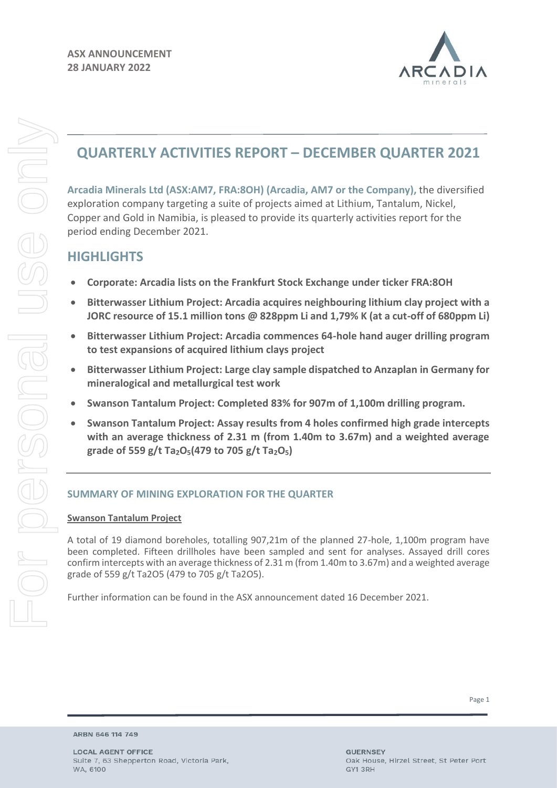

## **QUARTERLY ACTIVITIES REPORT – DECEMBER QUARTER 2021**

**Arcadia Minerals Ltd (ASX:AM7, FRA:8OH) (Arcadia, AM7 or the Company),** the diversified exploration company targeting a suite of projects aimed at Lithium, Tantalum, Nickel, Copper and Gold in Namibia, is pleased to provide its quarterly activities report for the period ending December 2021.

## **HIGHLIGHTS**

For personal use only

**ESONG** 

**IBCI JO-**

JSE onl

- **Corporate: Arcadia lists on the Frankfurt Stock Exchange under ticker FRA:8OH**
- **Bitterwasser Lithium Project: Arcadia acquires neighbouring lithium clay project with a JORC resource of 15.1 million tons @ 828ppm Li and 1,79% K (at a cut-off of 680ppm Li)**
- **Bitterwasser Lithium Project: Arcadia commences 64-hole hand auger drilling program to test expansions of acquired lithium clays project**
- **Bitterwasser Lithium Project: Large clay sample dispatched to Anzaplan in Germany for mineralogical and metallurgical test work**
- **Swanson Tantalum Project: Completed 83% for 907m of 1,100m drilling program.**
- **Swanson Tantalum Project: Assay results from 4 holes confirmed high grade intercepts with an average thickness of 2.31 m (from 1.40m to 3.67m) and a weighted average grade of 559 g/t Ta2O5(479 to 705 g/t Ta2O5)**

## **SUMMARY OF MINING EXPLORATION FOR THE QUARTER**

## **Swanson Tantalum Project**

A total of 19 diamond boreholes, totalling 907,21m of the planned 27-hole, 1,100m program have been completed. Fifteen drillholes have been sampled and sent for analyses. Assayed drill cores confirm intercepts with an average thickness of 2.31 m (from 1.40m to 3.67m) and a weighted average grade of 559 g/t Ta2O5 (479 to 705 g/t Ta2O5).

Further information can be found in the ASX announcement dated 16 December 2021.

ARBN 646 114 749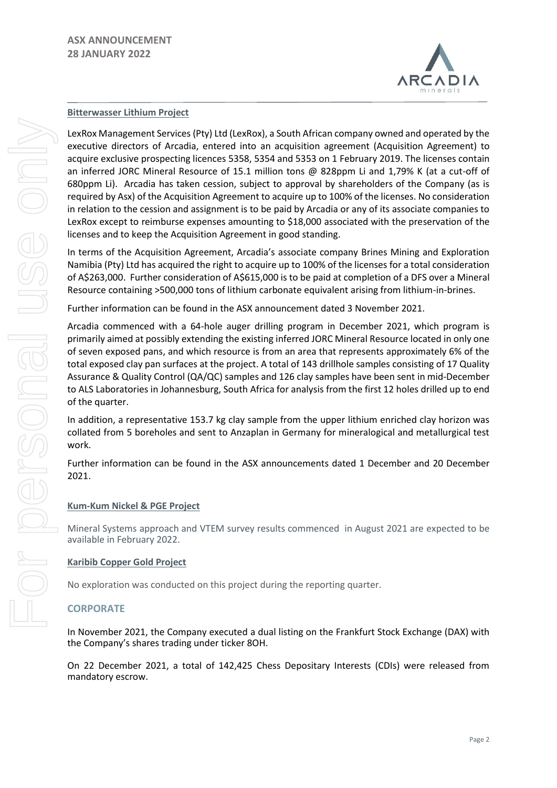

### **Bitterwasser Lithium Project**

LexRox Management Services (Pty) Ltd (LexRox), a South African company owned and operated by the executive directors of Arcadia, entered into an acquisition agreement (Acquisition Agreement) to acquire exclusive prospecting licences 5358, 5354 and 5353 on 1 February 2019. The licenses contain an inferred JORC Mineral Resource of 15.1 million tons @ 828ppm Li and 1,79% K (at a cut-off of 680ppm Li). Arcadia has taken cession, subject to approval by shareholders of the Company (as is required by Asx) of the Acquisition Agreement to acquire up to 100% of the licenses. No consideration in relation to the cession and assignment is to be paid by Arcadia or any of its associate companies to LexRox except to reimburse expenses amounting to \$18,000 associated with the preservation of the licenses and to keep the Acquisition Agreement in good standing.

In terms of the Acquisition Agreement, Arcadia's associate company Brines Mining and Exploration Namibia (Pty) Ltd has acquired the right to acquire up to 100% of the licenses for a total consideration of A\$263,000. Further consideration of A\$615,000 is to be paid at completion of a DFS over a Mineral Resource containing >500,000 tons of lithium carbonate equivalent arising from lithium-in-brines.

Further information can be found in the ASX announcement dated 3 November 2021.

Arcadia commenced with a 64-hole auger drilling program in December 2021, which program is primarily aimed at possibly extending the existing inferred JORC Mineral Resource located in only one of seven exposed pans, and which resource is from an area that represents approximately 6% of the total exposed clay pan surfaces at the project. A total of 143 drillhole samples consisting of 17 Quality Assurance & Quality Control (QA/QC) samples and 126 clay samples have been sent in mid-December to ALS Laboratories in Johannesburg, South Africa for analysis from the first 12 holes drilled up to end of the quarter.

In addition, a representative 153.7 kg clay sample from the upper lithium enriched clay horizon was collated from 5 boreholes and sent to Anzaplan in Germany for mineralogical and metallurgical test work.

Further information can be found in the ASX announcements dated 1 December and 20 December 2021.

#### **Kum-Kum Nickel & PGE Project**

Mineral Systems approach and VTEM survey results commenced in August 2021 are expected to be available in February 2022.

#### **Karibib Copper Gold Project**

No exploration was conducted on this project during the reporting quarter.

#### **CORPORATE**

In November 2021, the Company executed a dual listing on the Frankfurt Stock Exchange (DAX) with the Company's shares trading under ticker 8OH.

On 22 December 2021, a total of 142,425 Chess Depositary Interests (CDIs) were released from mandatory escrow.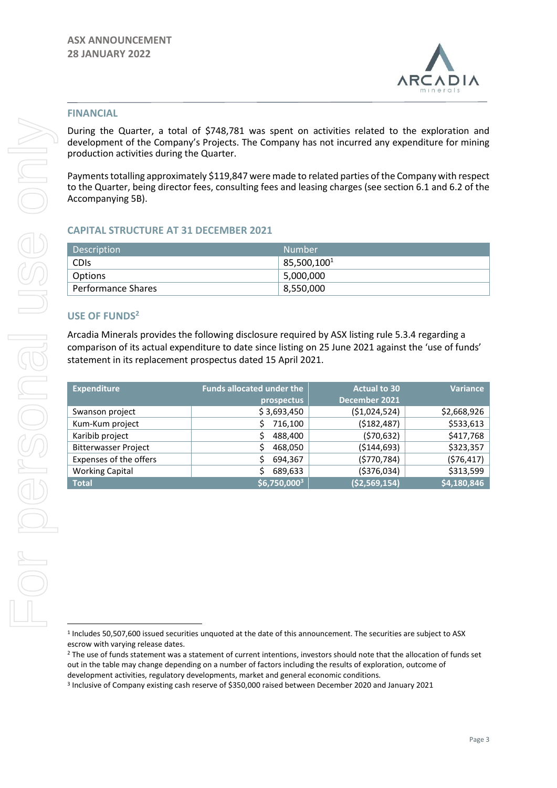

#### **FINANCIAL**

During the Quarter, a total of \$748,781 was spent on activities related to the exploration and development of the Company's Projects. The Company has not incurred any expenditure for mining production activities during the Quarter.

Payments totalling approximately \$119,847 were made to related parties of the Company with respect to the Quarter, being director fees, consulting fees and leasing charges (see section 6.1 and 6.2 of the Accompanying 5B).

### **CAPITAL STRUCTURE AT 31 DECEMBER 2021**

| Description               | Number           |
|---------------------------|------------------|
| <b>CDIS</b>               | $85,500,100^{1}$ |
| Options                   | 5,000,000        |
| <b>Performance Shares</b> | 8,550,000        |

#### **USE OF FUNDS<sup>2</sup>**

Arcadia Minerals provides the following disclosure required by ASX listing rule 5.3.4 regarding a comparison of its actual expenditure to date since listing on 25 June 2021 against the 'use of funds' statement in its replacement prospectus dated 15 April 2021.

| <b>Expenditure</b>          | <b>Funds allocated under the</b> | <b>Actual to 30</b> | <b>Variance</b> |
|-----------------------------|----------------------------------|---------------------|-----------------|
|                             | prospectus                       | December 2021       |                 |
| Swanson project             | \$3,693,450                      | ( \$1,024,524)      | \$2,668,926     |
| Kum-Kum project             | 716,100                          | (\$182,487)         | \$533,613       |
| Karibib project             | 488,400                          | (570, 632)          | \$417,768       |
| <b>Bitterwasser Project</b> | 468,050<br>\$                    | ( \$144, 693)       | \$323,357       |
| Expenses of the offers      | 694,367                          | (5770, 784)         | (576, 417)      |
| <b>Working Capital</b>      | 689,633                          | ( \$376, 034)       | \$313,599       |
| <b>Total</b>                | $ $6,750,000^3$$                 | ( \$2,569,154)      | \$4,180,846     |

<sup>&</sup>lt;sup>1</sup> Includes 50,507,600 issued securities unquoted at the date of this announcement. The securities are subject to ASX escrow with varying release dates.

<sup>&</sup>lt;sup>2</sup> The use of funds statement was a statement of current intentions, investors should note that the allocation of funds set out in the table may change depending on a number of factors including the results of exploration, outcome of development activities, regulatory developments, market and general economic conditions.

<sup>3</sup> Inclusive of Company existing cash reserve of \$350,000 raised between December 2020 and January 2021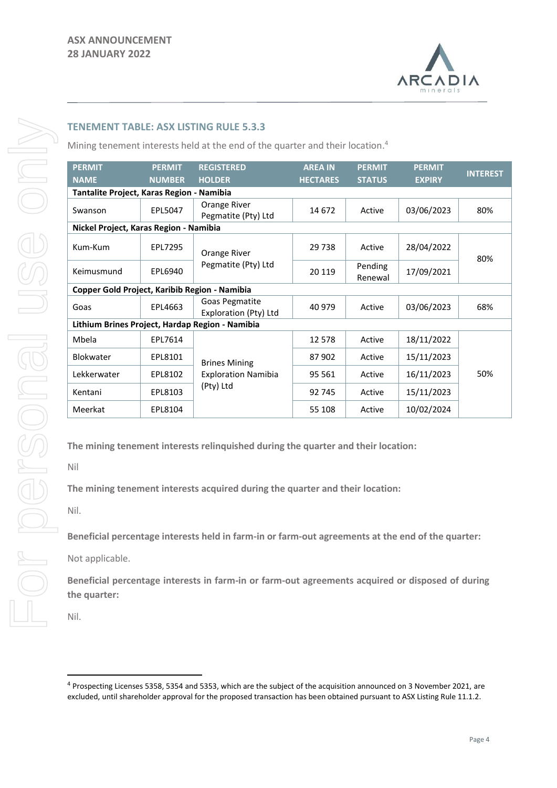

## **TENEMENT TABLE: ASX LISTING RULE 5.3.3**

Mining tenement interests held at the end of the quarter and their location. 4

| <b>PERMIT</b>                                 | <b>PERMIT</b>                             | <b>REGISTERED</b>                               | <b>AREA IN</b>  | <b>PERMIT</b>      | <b>PERMIT</b> | <b>INTEREST</b> |  |
|-----------------------------------------------|-------------------------------------------|-------------------------------------------------|-----------------|--------------------|---------------|-----------------|--|
| <b>NAME</b>                                   | <b>NUMBER</b>                             | <b>HOLDER</b>                                   | <b>HECTARES</b> | <b>STATUS</b>      | <b>EXPIRY</b> |                 |  |
|                                               | Tantalite Project, Karas Region - Namibia |                                                 |                 |                    |               |                 |  |
| Swanson                                       | EPL5047                                   | Orange River<br>Pegmatite (Pty) Ltd             | 14 672          | Active             | 03/06/2023    | 80%             |  |
| Nickel Project, Karas Region - Namibia        |                                           |                                                 |                 |                    |               |                 |  |
| Kum-Kum                                       | EPL7295                                   | Orange River<br>Pegmatite (Pty) Ltd             | 29738           | Active             | 28/04/2022    | 80%             |  |
| Keimusmund                                    | EPL6940                                   |                                                 | 20 119          | Pending<br>Renewal | 17/09/2021    |                 |  |
| Copper Gold Project, Karibib Region - Namibia |                                           |                                                 |                 |                    |               |                 |  |
| Goas                                          | EPL4663                                   | Goas Pegmatite<br>Exploration (Pty) Ltd         | 40 979          | Active             | 03/06/2023    | 68%             |  |
|                                               |                                           | Lithium Brines Project, Hardap Region - Namibia |                 |                    |               |                 |  |
| Mbela                                         | EPL7614                                   |                                                 | 12 5 78         | Active             | 18/11/2022    |                 |  |
| <b>Blokwater</b>                              | EPL8101                                   | <b>Brines Mining</b>                            | 87902           | Active             | 15/11/2023    |                 |  |
| Lekkerwater                                   | EPL8102                                   | <b>Exploration Namibia</b>                      | 95 561          | Active             | 16/11/2023    | 50%             |  |
| Kentani                                       | EPL8103                                   | (Pty) Ltd                                       | 92 745          | Active             | 15/11/2023    |                 |  |
| Meerkat                                       | EPL8104                                   |                                                 | 55 108          | Active             | 10/02/2024    |                 |  |

**The mining tenement interests relinquished during the quarter and their location:**

Nil

**The mining tenement interests acquired during the quarter and their location:**

Nil.

**Beneficial percentage interests held in farm-in or farm-out agreements at the end of the quarter:**

Not applicable.

**Beneficial percentage interests in farm-in or farm-out agreements acquired or disposed of during the quarter:**

Nil.

<sup>&</sup>lt;sup>4</sup> Prospecting Licenses 5358, 5354 and 5353, which are the subject of the acquisition announced on 3 November 2021, are excluded, until shareholder approval for the proposed transaction has been obtained pursuant to ASX Listing Rule 11.1.2.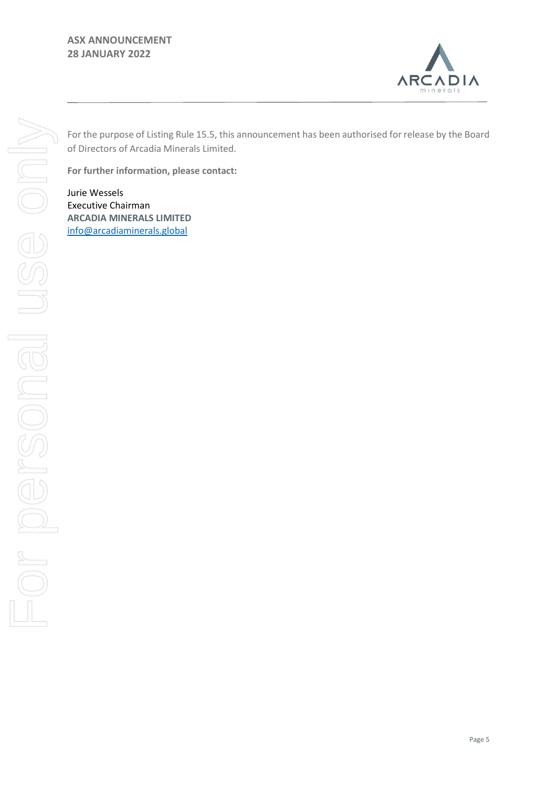## **ASX ANNOUNCEMENT 28 JANUARY 2022**



For the purpose of Listing Rule 15.5, this announcement has been authorised for release by the Board of Directors of Arcadia Minerals Limited.

**For further information, please contact:** 

Jurie Wessels Executive Chairman **ARCADIA MINERALS LIMITED** [info@arcadiaminerals.global](mailto:info@arcadiaminerals.global)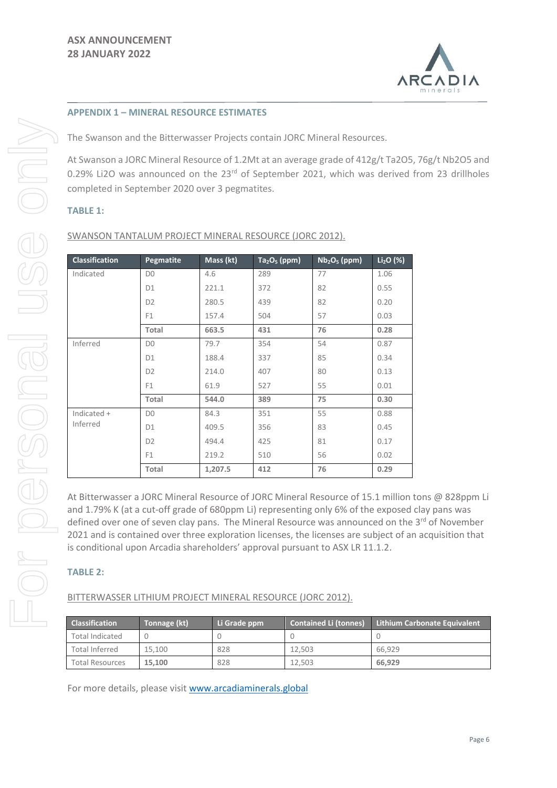

#### **APPENDIX 1 – MINERAL RESOURCE ESTIMATES**

The Swanson and the Bitterwasser Projects contain JORC Mineral Resources.

At Swanson a JORC Mineral Resource of 1.2Mt at an average grade of 412g/t Ta2O5, 76g/t Nb2O5 and 0.29% Li2O was announced on the 23<sup>rd</sup> of September 2021, which was derived from 23 drillholes completed in September 2020 over 3 pegmatites.

### **TABLE 1:**

| <b>Classification</b> | Pegmatite      | Mass (kt) | $Ta_2O_5$ (ppm) | $Nb2O5$ (ppm) | $Li2O$ (%) |
|-----------------------|----------------|-----------|-----------------|---------------|------------|
| Indicated             | D <sub>0</sub> | 4.6       | 289             | 77            | 1.06       |
|                       | D1             | 221.1     | 372             | 82            | 0.55       |
|                       | D <sub>2</sub> | 280.5     | 439             | 82            | 0.20       |
|                       | F <sub>1</sub> | 157.4     | 504             | 57            | 0.03       |
|                       | Total          | 663.5     | 431             | 76            | 0.28       |
| Inferred              | D <sub>0</sub> | 79.7      | 354             | 54            | 0.87       |
|                       | D1             | 188.4     | 337             | 85            | 0.34       |
|                       | D <sub>2</sub> | 214.0     | 407             | 80            | 0.13       |
|                       | F <sub>1</sub> | 61.9      | 527             | 55            | 0.01       |
|                       | Total          | 544.0     | 389             | 75            | 0.30       |
| Indicated +           | D <sub>0</sub> | 84.3      | 351             | 55            | 0.88       |
| Inferred              | D1             | 409.5     | 356             | 83            | 0.45       |
|                       | D <sub>2</sub> | 494.4     | 425             | 81            | 0.17       |
|                       | F <sub>1</sub> | 219.2     | 510             | 56            | 0.02       |
|                       | Total          | 1,207.5   | 412             | 76            | 0.29       |

At Bitterwasser a JORC Mineral Resource of JORC Mineral Resource of 15.1 million tons @ 828ppm Li and 1.79% K (at a cut-off grade of 680ppm Li) representing only 6% of the exposed clay pans was defined over one of seven clay pans. The Mineral Resource was announced on the  $3^{rd}$  of November 2021 and is contained over three exploration licenses, the licenses are subject of an acquisition that is conditional upon Arcadia shareholders' approval pursuant to ASX LR 11.1.2.

## **TABLE 2:**

BITTERWASSER LITHIUM PROJECT MINERAL RESOURCE (JORC 2012).

| <b>Classification</b>  | Tonnage (kt) | Li Grade ppm | <b>Contained Li (tonnes)</b> | <b>Lithium Carbonate Equivalent</b> |
|------------------------|--------------|--------------|------------------------------|-------------------------------------|
| <b>Total Indicated</b> |              |              |                              |                                     |
| <b>Total Inferred</b>  | 15.100       | 828          | 12.503                       | 66.929                              |
| <b>Total Resources</b> | 15.100       | 828          | 12.503                       | 66.929                              |

For more details, please visit [www.arcadiaminerals.global](http://www.arcadiaminerals.global/)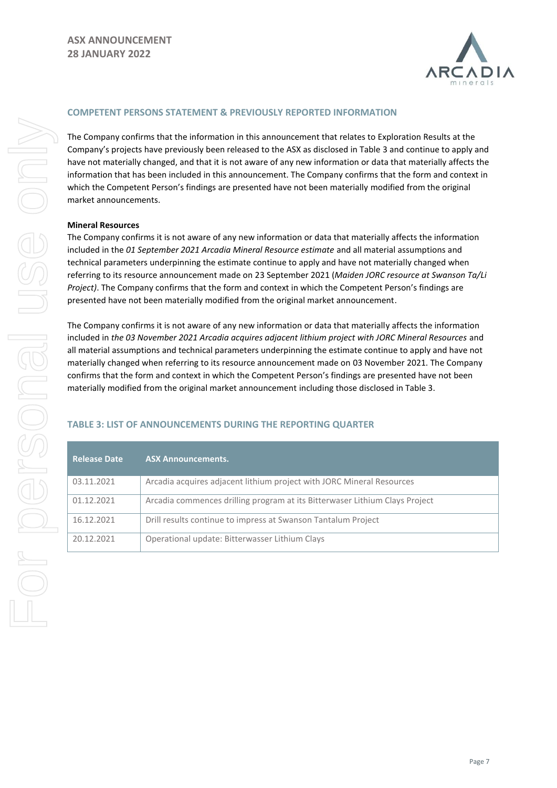

#### **COMPETENT PERSONS STATEMENT & PREVIOUSLY REPORTED INFORMATION**

The Company confirms that the information in this announcement that relates to Exploration Results at the Company's projects have previously been released to the ASX as disclosed in Table 3 and continue to apply and have not materially changed, and that it is not aware of any new information or data that materially affects the information that has been included in this announcement. The Company confirms that the form and context in which the Competent Person's findings are presented have not been materially modified from the original market announcements.

#### **Mineral Resources**

The Company confirms it is not aware of any new information or data that materially affects the information included in the *01 September 2021 Arcadia Mineral Resource estimate* and all material assumptions and technical parameters underpinning the estimate continue to apply and have not materially changed when referring to its resource announcement made on 23 September 2021 (*Maiden JORC resource at Swanson Ta/Li Project)*. The Company confirms that the form and context in which the Competent Person's findings are presented have not been materially modified from the original market announcement.

The Company confirms it is not aware of any new information or data that materially affects the information included in *the 03 November 2021 Arcadia acquires adjacent lithium project with JORC Mineral Resources* and all material assumptions and technical parameters underpinning the estimate continue to apply and have not materially changed when referring to its resource announcement made on 03 November 2021. The Company confirms that the form and context in which the Competent Person's findings are presented have not been materially modified from the original market announcement including those disclosed in Table 3.

## **TABLE 3: LIST OF ANNOUNCEMENTS DURING THE REPORTING QUARTER**

| <b>Release Date</b> | <b>ASX Announcements.</b>                                                   |
|---------------------|-----------------------------------------------------------------------------|
| 03.11.2021          | Arcadia acquires adjacent lithium project with JORC Mineral Resources       |
| 01.12.2021          | Arcadia commences drilling program at its Bitterwaser Lithium Clays Project |
| 16.12.2021          | Drill results continue to impress at Swanson Tantalum Project               |
| 20.12.2021          | Operational update: Bitterwasser Lithium Clays                              |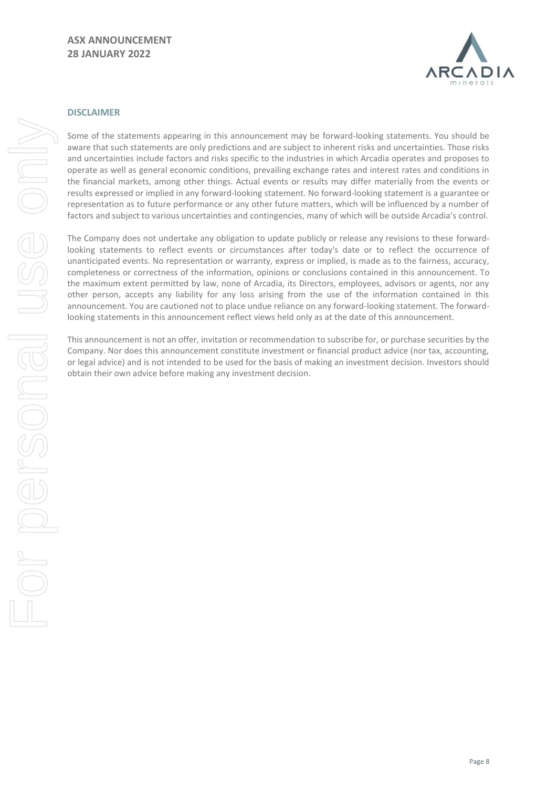

#### **DISCLAIMER**

Some of the statements appearing in this announcement may be forward-looking statements. You should be aware that such statements are only predictions and are subject to inherent risks and uncertainties. Those risks and uncertainties include factors and risks specific to the industries in which Arcadia operates and proposes to operate as well as general economic conditions, prevailing exchange rates and interest rates and conditions in the financial markets, among other things. Actual events or results may differ materially from the events or results expressed or implied in any forward-looking statement. No forward-looking statement is a guarantee or representation as to future performance or any other future matters, which will be influenced by a number of factors and subject to various uncertainties and contingencies, many of which will be outside Arcadia's control.

The Company does not undertake any obligation to update publicly or release any revisions to these forwardlooking statements to reflect events or circumstances after today's date or to reflect the occurrence of unanticipated events. No representation or warranty, express or implied, is made as to the fairness, accuracy, completeness or correctness of the information, opinions or conclusions contained in this announcement. To the maximum extent permitted by law, none of Arcadia, its Directors, employees, advisors or agents, nor any other person, accepts any liability for any loss arising from the use of the information contained in this announcement. You are cautioned not to place undue reliance on any forward-looking statement. The forwardlooking statements in this announcement reflect views held only as at the date of this announcement.

This announcement is not an offer, invitation or recommendation to subscribe for, or purchase securities by the Company. Nor does this announcement constitute investment or financial product advice (nor tax, accounting, or legal advice) and is not intended to be used for the basis of making an investment decision. Investors should obtain their own advice before making any investment decision.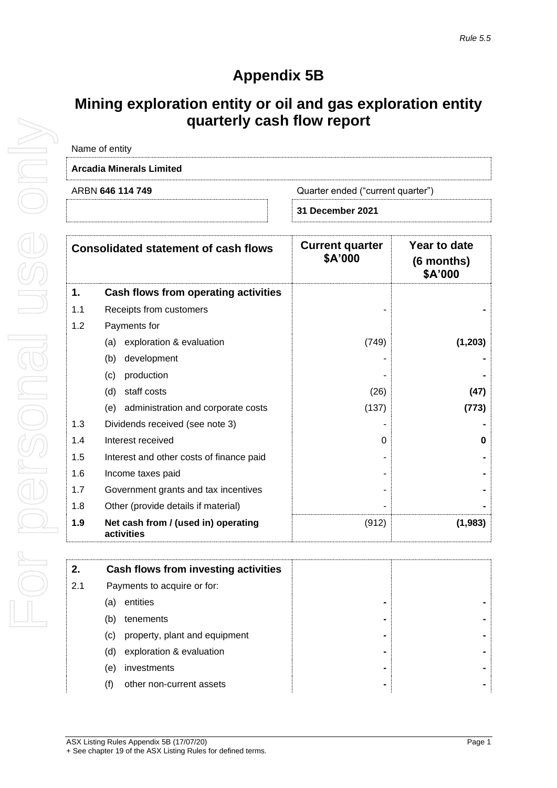# **Appendix 5B**

## **Mining exploration entity or oil and gas exploration entity quarterly cash flow report**

|                                                       | Name of entity                                    |                                   |                                       |
|-------------------------------------------------------|---------------------------------------------------|-----------------------------------|---------------------------------------|
|                                                       | <b>Arcadia Minerals Limited</b>                   |                                   |                                       |
| ARBN 646 114 749<br>Quarter ended ("current quarter") |                                                   |                                   |                                       |
|                                                       |                                                   | 31 December 2021                  |                                       |
|                                                       | <b>Consolidated statement of cash flows</b>       | <b>Current quarter</b><br>\$A'000 | Year to date<br>(6 months)<br>\$A'000 |
| 1.                                                    | Cash flows from operating activities              |                                   |                                       |
| 1.1                                                   | Receipts from customers                           |                                   |                                       |
| 1.2                                                   | Payments for                                      |                                   |                                       |
|                                                       | exploration & evaluation<br>(a)                   | (749)                             | (1, 203)                              |
|                                                       | development<br>(b)                                |                                   |                                       |
|                                                       | production<br>(c)                                 |                                   |                                       |
|                                                       | staff costs<br>(d)                                | (26)                              | (47)                                  |
|                                                       | administration and corporate costs<br>(e)         | (137)                             | (773)                                 |
| 1.3                                                   | Dividends received (see note 3)                   |                                   |                                       |
| 1.4                                                   | Interest received                                 | 0                                 | n                                     |
| 1.5                                                   | Interest and other costs of finance paid          |                                   |                                       |
| 1.6                                                   | Income taxes paid                                 |                                   |                                       |
| 1.7                                                   | Government grants and tax incentives              |                                   |                                       |
| 1.8                                                   | Other (provide details if material)               |                                   |                                       |
| 1.9                                                   | Net cash from / (used in) operating<br>activities | (912)                             | (1,983)                               |

| 2.  | Cash flows from investing activities |   |  |
|-----|--------------------------------------|---|--|
| 2.1 | Payments to acquire or for:          |   |  |
|     | entities<br>(a)                      |   |  |
|     | (b)<br>tenements                     |   |  |
|     | property, plant and equipment<br>(C) |   |  |
|     | exploration & evaluation<br>(d)      |   |  |
|     | investments<br>(e)                   |   |  |
|     | other non-current assets<br>(f)      | ۰ |  |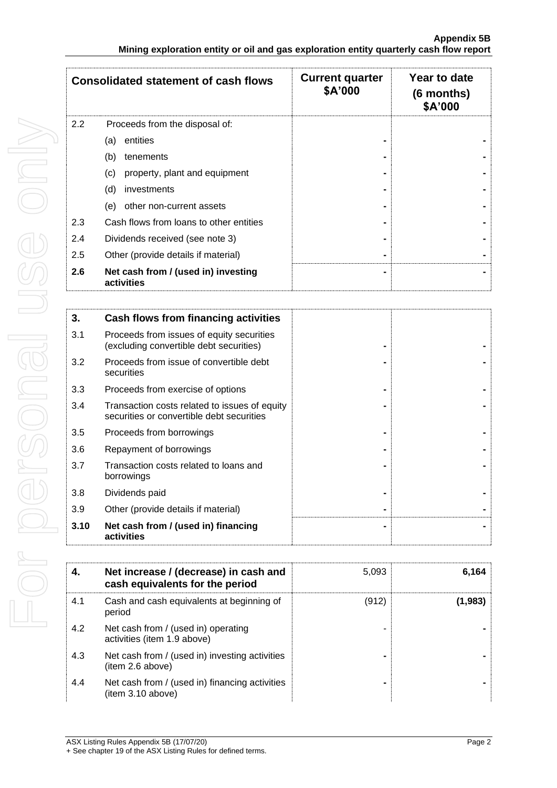|     | <b>Consolidated statement of cash flows</b>       | <b>Current quarter</b><br>\$A'000 | Year to date<br>$(6$ months)<br>\$A'000 |
|-----|---------------------------------------------------|-----------------------------------|-----------------------------------------|
| 2.2 | Proceeds from the disposal of:                    |                                   |                                         |
|     | entities<br>(a)                                   |                                   |                                         |
|     | (b)<br>tenements                                  |                                   |                                         |
|     | (c)<br>property, plant and equipment              |                                   |                                         |
|     | (d)<br>investments                                |                                   |                                         |
|     | (e)<br>other non-current assets                   |                                   |                                         |
| 2.3 | Cash flows from loans to other entities           |                                   |                                         |
| 2.4 | Dividends received (see note 3)                   |                                   |                                         |
| 2.5 | Other (provide details if material)               |                                   |                                         |
| 2.6 | Net cash from / (used in) investing<br>activities |                                   |                                         |

| 3.   | Cash flows from financing activities                                                       |  |
|------|--------------------------------------------------------------------------------------------|--|
| 3.1  | Proceeds from issues of equity securities<br>(excluding convertible debt securities)       |  |
| 3.2  | Proceeds from issue of convertible debt<br>securities                                      |  |
| 3.3  | Proceeds from exercise of options                                                          |  |
| 3.4  | Transaction costs related to issues of equity<br>securities or convertible debt securities |  |
| 3.5  | Proceeds from borrowings                                                                   |  |
| 3.6  | Repayment of borrowings                                                                    |  |
| 3.7  | Transaction costs related to loans and<br>borrowings                                       |  |
| 3.8  | Dividends paid                                                                             |  |
| 3.9  | Other (provide details if material)                                                        |  |
| 3.10 | Net cash from / (used in) financing<br>activities                                          |  |

| 4.  | Net increase / (decrease) in cash and<br>cash equivalents for the period | 5,093 | 6,164   |
|-----|--------------------------------------------------------------------------|-------|---------|
| 4.1 | Cash and cash equivalents at beginning of<br>period                      | (912) | (1,983) |
| 4.2 | Net cash from / (used in) operating<br>activities (item 1.9 above)       |       |         |
| 4.3 | Net cash from / (used in) investing activities<br>(item 2.6 above)       |       |         |
| 4.4 | Net cash from / (used in) financing activities<br>(item 3.10 above)      |       |         |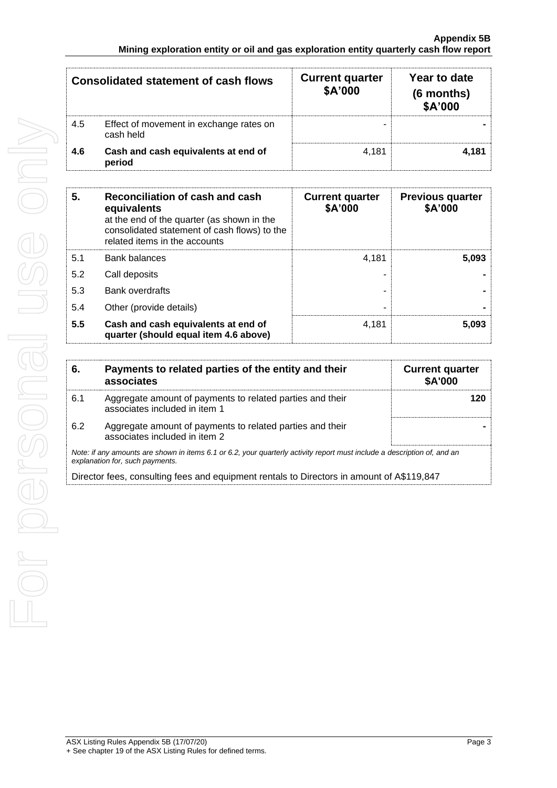| <b>Consolidated statement of cash flows</b> |                                                      | <b>Current quarter</b><br>\$A'000 | Year to date<br>(6 months)<br>\$A'000 |  |
|---------------------------------------------|------------------------------------------------------|-----------------------------------|---------------------------------------|--|
| 4.5                                         | Effect of movement in exchange rates on<br>cash held |                                   |                                       |  |
| 4.6                                         | Cash and cash equivalents at end of<br>period        | 4.181                             | 4.181                                 |  |

| 5.  | Reconciliation of cash and cash<br>equivalents<br>at the end of the quarter (as shown in the<br>consolidated statement of cash flows) to the<br>related items in the accounts | <b>Current quarter</b><br>\$A'000 | <b>Previous quarter</b><br>\$A'000 |
|-----|-------------------------------------------------------------------------------------------------------------------------------------------------------------------------------|-----------------------------------|------------------------------------|
| 5.1 | <b>Bank balances</b>                                                                                                                                                          | 4.181                             | 5,093                              |
| 5.2 | Call deposits                                                                                                                                                                 |                                   |                                    |
| 5.3 | <b>Bank overdrafts</b>                                                                                                                                                        |                                   |                                    |
| 5.4 | Other (provide details)                                                                                                                                                       |                                   |                                    |
| 5.5 | Cash and cash equivalents at end of<br>quarter (should equal item 4.6 above)                                                                                                  | 4.181                             | 5.093                              |

| 6.  | Payments to related parties of the entity and their<br>associates                                                                                           | <b>Current quarter</b><br><b>\$A'000</b> |
|-----|-------------------------------------------------------------------------------------------------------------------------------------------------------------|------------------------------------------|
| 6.1 | Aggregate amount of payments to related parties and their<br>associates included in item 1                                                                  |                                          |
| 6.2 | Aggregate amount of payments to related parties and their<br>associates included in item 2                                                                  |                                          |
|     | Note: if any amounts are shown in items 6.1 or 6.2, your quarterly activity report must include a description of, and an<br>explanation for, such payments. |                                          |
|     | Director fees, consulting fees and equipment rentals to Directors in amount of A\$119,847                                                                   |                                          |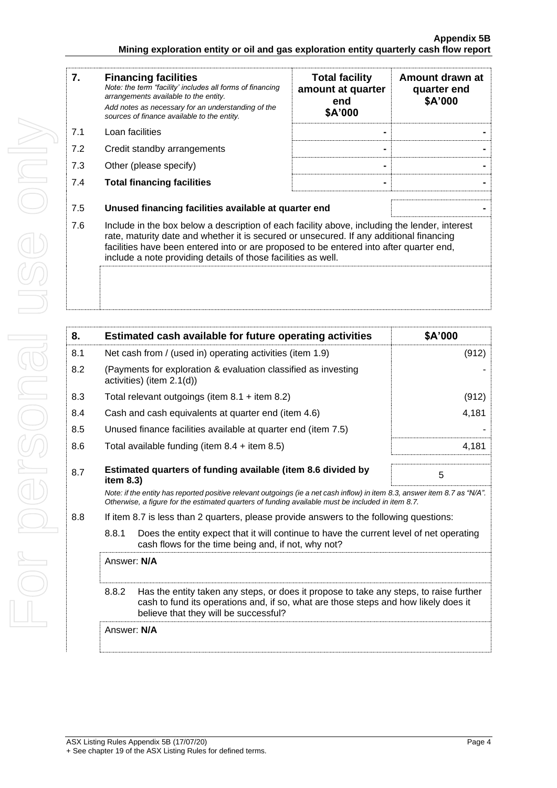| 7.  | <b>Financing facilities</b><br>Note: the term "facility' includes all forms of financing<br>arrangements available to the entity.<br>Add notes as necessary for an understanding of the<br>sources of finance available to the entity. | <b>Total facility</b><br>amount at quarter<br>end<br>\$A'000                                                                                                                                                                                                                                                                                         | Amount drawn at<br>quarter end<br>\$A'000 |  |
|-----|----------------------------------------------------------------------------------------------------------------------------------------------------------------------------------------------------------------------------------------|------------------------------------------------------------------------------------------------------------------------------------------------------------------------------------------------------------------------------------------------------------------------------------------------------------------------------------------------------|-------------------------------------------|--|
| 7.1 | Loan facilities                                                                                                                                                                                                                        |                                                                                                                                                                                                                                                                                                                                                      |                                           |  |
| 7.2 | Credit standby arrangements                                                                                                                                                                                                            |                                                                                                                                                                                                                                                                                                                                                      |                                           |  |
| 7.3 | Other (please specify)                                                                                                                                                                                                                 |                                                                                                                                                                                                                                                                                                                                                      |                                           |  |
| 7.4 | <b>Total financing facilities</b>                                                                                                                                                                                                      |                                                                                                                                                                                                                                                                                                                                                      |                                           |  |
|     |                                                                                                                                                                                                                                        |                                                                                                                                                                                                                                                                                                                                                      |                                           |  |
| 7.5 | Unused financing facilities available at quarter end                                                                                                                                                                                   |                                                                                                                                                                                                                                                                                                                                                      |                                           |  |
| 7.6 |                                                                                                                                                                                                                                        | Include in the box below a description of each facility above, including the lender, interest<br>rate, maturity date and whether it is secured or unsecured. If any additional financing<br>facilities have been entered into or are proposed to be entered into after quarter end,<br>include a note providing details of those facilities as well. |                                           |  |
|     |                                                                                                                                                                                                                                        |                                                                                                                                                                                                                                                                                                                                                      |                                           |  |

| 8.                                                                                                                                                      |                                                                                                                                                                                                                                 | Estimated cash available for future operating activities                                                                                                                                                                        | \$A'000 |
|---------------------------------------------------------------------------------------------------------------------------------------------------------|---------------------------------------------------------------------------------------------------------------------------------------------------------------------------------------------------------------------------------|---------------------------------------------------------------------------------------------------------------------------------------------------------------------------------------------------------------------------------|---------|
| 8.1                                                                                                                                                     | Net cash from / (used in) operating activities (item 1.9)                                                                                                                                                                       |                                                                                                                                                                                                                                 | (912)   |
| 8.2                                                                                                                                                     | (Payments for exploration & evaluation classified as investing<br>activities) (item 2.1(d))                                                                                                                                     |                                                                                                                                                                                                                                 |         |
| 8.3                                                                                                                                                     |                                                                                                                                                                                                                                 | Total relevant outgoings (item $8.1 +$ item $8.2$ )                                                                                                                                                                             | (912)   |
| 8.4                                                                                                                                                     | Cash and cash equivalents at quarter end (item 4.6)                                                                                                                                                                             |                                                                                                                                                                                                                                 | 4,181   |
| 8.5                                                                                                                                                     | Unused finance facilities available at quarter end (item 7.5)                                                                                                                                                                   |                                                                                                                                                                                                                                 |         |
| 8.6                                                                                                                                                     |                                                                                                                                                                                                                                 | Total available funding (item $8.4$ + item $8.5$ )                                                                                                                                                                              | 4,181   |
| 8.7                                                                                                                                                     | item 8.3)                                                                                                                                                                                                                       | Estimated quarters of funding available (item 8.6 divided by                                                                                                                                                                    | 5       |
|                                                                                                                                                         |                                                                                                                                                                                                                                 | Note: if the entity has reported positive relevant outgoings (ie a net cash inflow) in item 8.3, answer item 8.7 as "N/A".<br>Otherwise, a figure for the estimated quarters of funding available must be included in item 8.7. |         |
| 8.8                                                                                                                                                     | If item 8.7 is less than 2 quarters, please provide answers to the following questions:                                                                                                                                         |                                                                                                                                                                                                                                 |         |
| 8.8.1<br>Does the entity expect that it will continue to have the current level of net operating<br>cash flows for the time being and, if not, why not? |                                                                                                                                                                                                                                 |                                                                                                                                                                                                                                 |         |
|                                                                                                                                                         | Answer: N/A                                                                                                                                                                                                                     |                                                                                                                                                                                                                                 |         |
|                                                                                                                                                         | 8.8.2<br>Has the entity taken any steps, or does it propose to take any steps, to raise further<br>cash to fund its operations and, if so, what are those steps and how likely does it<br>believe that they will be successful? |                                                                                                                                                                                                                                 |         |
|                                                                                                                                                         | Answer: N/A                                                                                                                                                                                                                     |                                                                                                                                                                                                                                 |         |